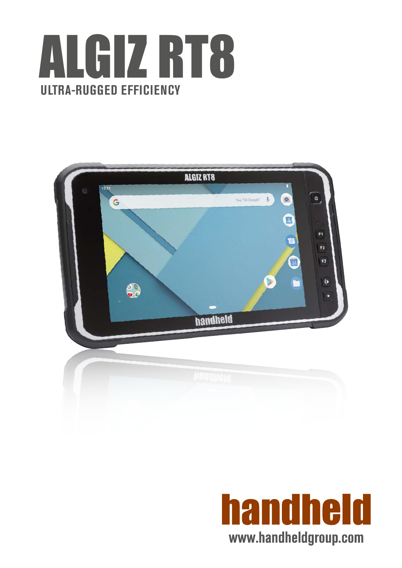